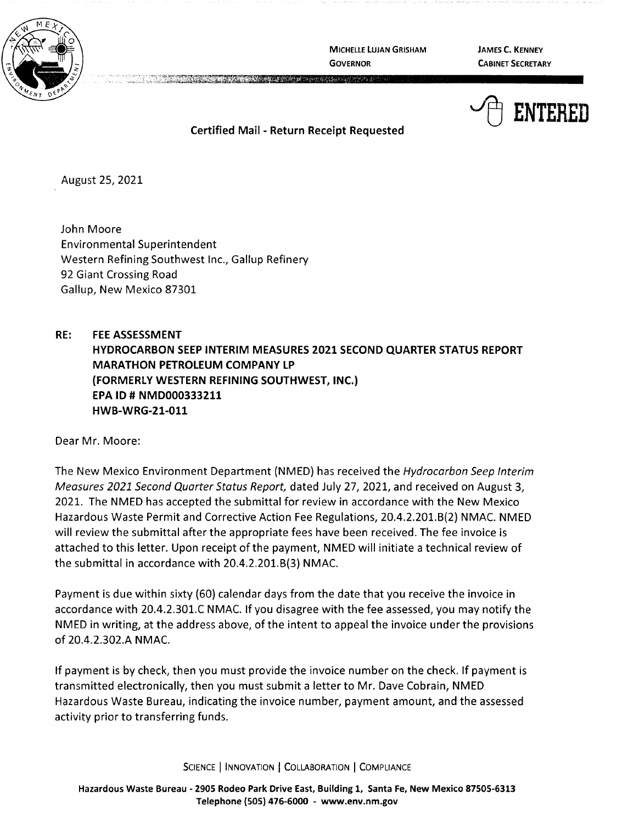

**MICHELLE LUJAN GRISHAM GOVERNOR** 

**JAMES C. KENNEY CABINET SECRETARY** 



**Certified Mail** - **Return Receipt Requested** 

August 25, 2021

John Moore Environmental Superintendent Western Refining Southwest Inc., Gallup Refinery 92 Giant Crossing Road Gallup, New Mexico 87301

**RE: FEE ASSESSMENT HYDROCARBON SEEP INTERIM MEASURES 2021 SECOND QUARTER STATUS REPORT MARATHON PETROLEUM COMPANY LP (FORMERLY WESTERN REFINING SOUTHWEST, INC.) EPA ID# NMD000333211 HWB-WRG-21-011** 

Dear Mr. Moore:

The New Mexico Environment Department {NMED) has received the Hydrocarbon Seep Interim Measures 2021 Second Quarter Status Report, dated July 27, 2021, and received on August 3, 2021. The NMED has accepted the submittal for review in accordance with the New Mexico Hazardous Waste Permit and Corrective Action Fee Regulations, 20.4.2.201.8(2) NMAC. NMED will review the submittal after the appropriate fees have been received. The fee invoice is attached to this letter. Upon receipt of the payment, NMED will initiate a technical review of the submittal in accordance with 20.4.2.201.8{3) NMAC.

Payment is due within sixty (60) calendar days from the date that you receive the invoice in accordance with 20.4.2.301.C NMAC. If you disagree with the fee assessed, you may notify the NMED in writing, at the address above, of the intent to appeal the invoice under the provisions of 20.4.2.302.A **NMAC.** 

If payment is by check, then you must provide the invoice number on the check. If payment is transmitted electronically, then you must submit a letter to Mr. Dave Cobrain, NMED Hazardous Waste Bureau, indicating the invoice number, payment amount, and the assessed activity prior to transferring funds.

SCIENCE | INNOVATION | COLLABORATION | COMPLIANCE

**Hazardous Waste Bureau** - **2905 Rodeo Park Drive East, Building 1, Santa Fe, New Mexico 87505-6313 Telephone (SOS) 476-6000** - **www.env.nm.gov**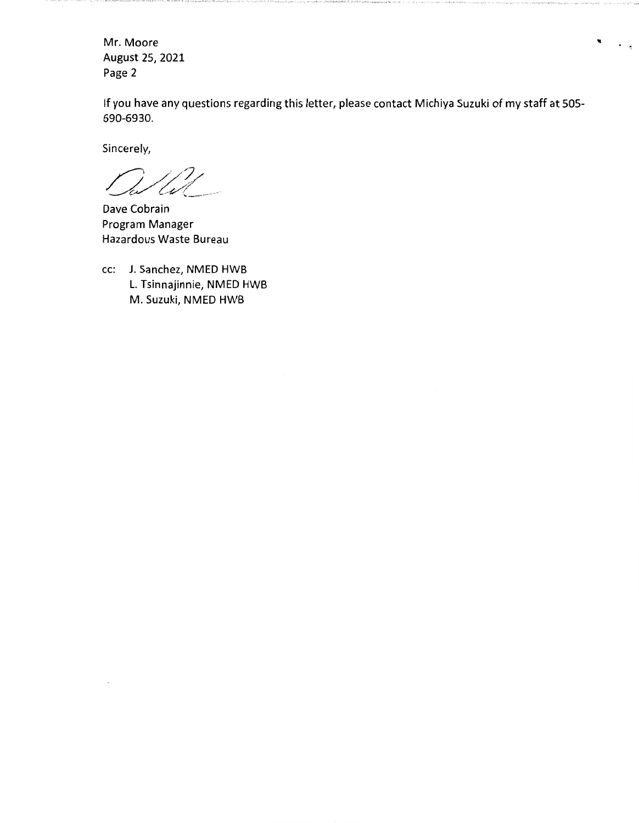Mr. Moore August 25, 2021 Page 2

If you have any questions regarding this letter, please contact Michiya Suzuki of my staff at 505- 690-6930.

 $\blacksquare$ 

 $\ddot{\phantom{0}}$ 

Sincerely,

(s

Dave Cobrain Program Manager Hazardous Waste Bureau

cc: J. Sanchez, NMED HWB L. Tsinnajinnie, NMED HWB M. Suzuki, NMED HWB